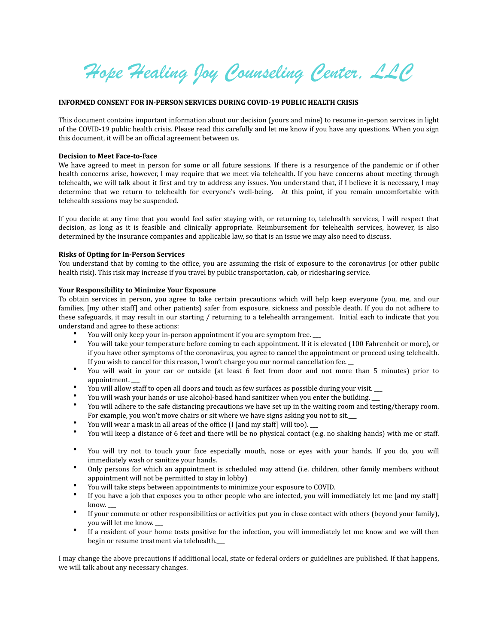*Hope Healing Joy Counseling Center, LLC* 

### **INFORMED CONSENT FOR IN-PERSON SERVICES DURING COVID-19 PUBLIC HEALTH CRISIS**

This document contains important information about our decision (yours and mine) to resume in-person services in light of the COVID-19 public health crisis. Please read this carefully and let me know if you have any questions. When you sign this document, it will be an official agreement between us.

#### **Decision to Meet Face-to-Face**

We have agreed to meet in person for some or all future sessions. If there is a resurgence of the pandemic or if other health concerns arise, however, I may require that we meet via telehealth. If you have concerns about meeting through telehealth, we will talk about it first and try to address any issues. You understand that, if I believe it is necessary, I may determine that we return to telehealth for everyone's well-being. At this point, if you remain uncomfortable with telehealth sessions may be suspended.

If you decide at any time that you would feel safer staying with, or returning to, telehealth services, I will respect that decision, as long as it is feasible and clinically appropriate. Reimbursement for telehealth services, however, is also determined by the insurance companies and applicable law, so that is an issue we may also need to discuss.

#### **Risks of Opting for In-Person Services**

 $\overline{a}$ 

You understand that by coming to the office, you are assuming the risk of exposure to the coronavirus (or other public health risk). This risk may increase if you travel by public transportation, cab, or ridesharing service.

## **Your Responsibility to Minimize Your Exposure**

To obtain services in person, you agree to take certain precautions which will help keep everyone (you, me, and our families, [my other staff] and other patients) safer from exposure, sickness and possible death. If you do not adhere to these safeguards, it may result in our starting / returning to a telehealth arrangement. Initial each to indicate that you understand and agree to these actions:

- You will only keep your in-person appointment if you are symptom free.
- You will take your temperature before coming to each appointment. If it is elevated (100 Fahrenheit or more), or if you have other symptoms of the coronavirus, you agree to cancel the appointment or proceed using telehealth. If you wish to cancel for this reason, I won't charge you our normal cancellation fee.  $\overline{\phantom{a}}$
- You will wait in your car or outside (at least 6 feet from door and not more than 5 minutes) prior to appointment.
- You will allow staff to open all doors and touch as few surfaces as possible during your visit.
- You will wash your hands or use alcohol-based hand sanitizer when you enter the building.
- You will adhere to the safe distancing precautions we have set up in the waiting room and testing/therapy room. For example, you won't move chairs or sit where we have signs asking you not to sit.
- You will wear a mask in all areas of the office (I [and my staff] will too).  $\frac{1}{\sqrt{2}}$ <br>• You will keep a distance of 6 feet and there will be no physical contact (e)
- You will keep a distance of 6 feet and there will be no physical contact (e.g. no shaking hands) with me or staff.
- You will try not to touch your face especially mouth, nose or eyes with your hands. If you do, you will immediately wash or sanitize your hands.
- Only persons for which an appointment is scheduled may attend (i.e. children, other family members without appointment will not be permitted to stay in lobby)\_\_\_
- You will take steps between appointments to minimize your exposure to COVID.
- If you have a job that exposes you to other people who are infected, you will immediately let me [and my staff] know.
- If your commute or other responsibilities or activities put you in close contact with others (beyond your family), you will let me know.
- If a resident of your home tests positive for the infection, you will immediately let me know and we will then begin or resume treatment via telehealth.\_\_

I may change the above precautions if additional local, state or federal orders or guidelines are published. If that happens, we will talk about any necessary changes.